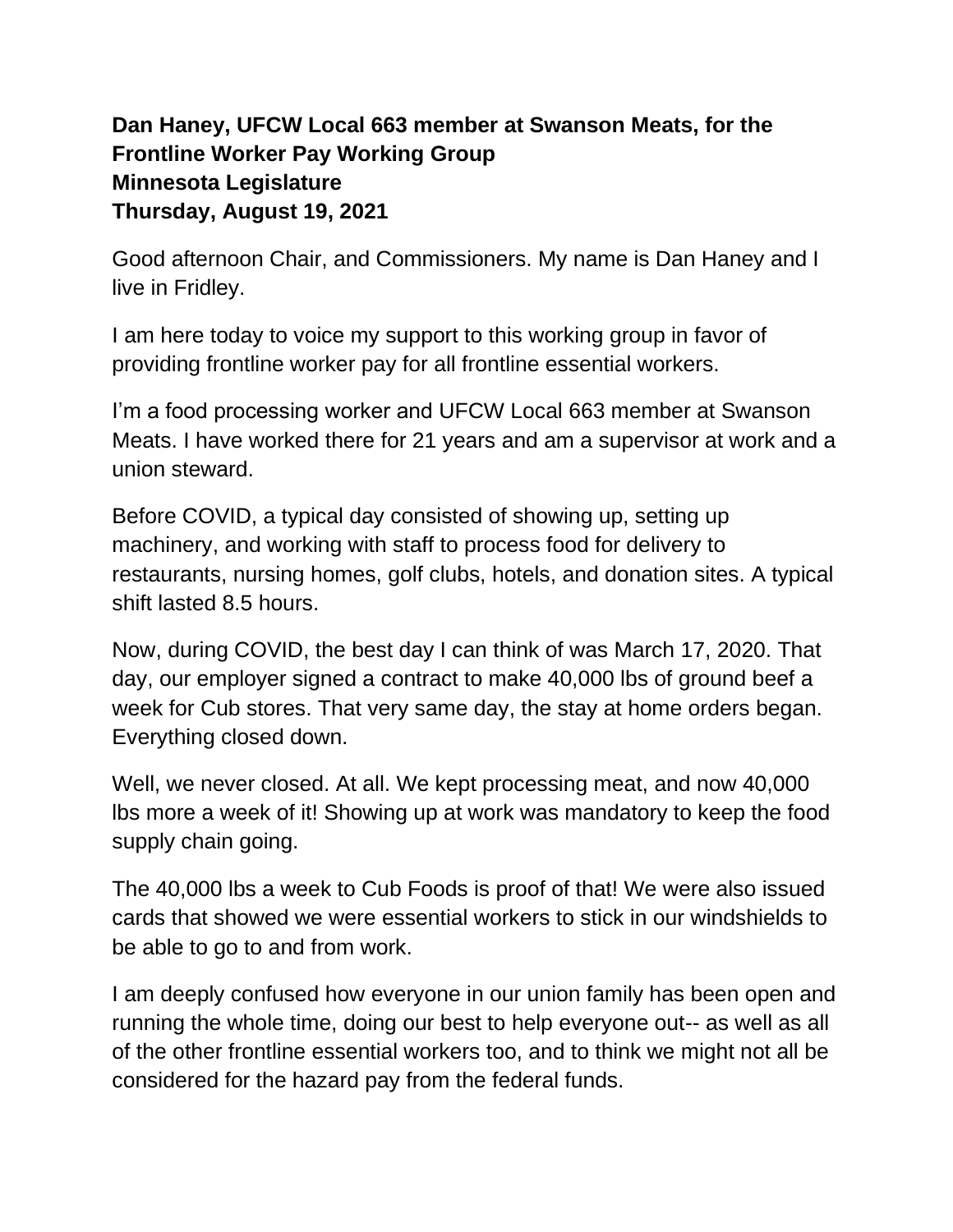## **Dan Haney, UFCW Local 663 member at Swanson Meats, for the Frontline Worker Pay Working Group Minnesota Legislature Thursday, August 19, 2021**

Good afternoon Chair, and Commissioners. My name is Dan Haney and I live in Fridley.

I am here today to voice my support to this working group in favor of providing frontline worker pay for all frontline essential workers.

I'm a food processing worker and UFCW Local 663 member at Swanson Meats. I have worked there for 21 years and am a supervisor at work and a union steward.

Before COVID, a typical day consisted of showing up, setting up machinery, and working with staff to process food for delivery to restaurants, nursing homes, golf clubs, hotels, and donation sites. A typical shift lasted 8.5 hours.

Now, during COVID, the best day I can think of was March 17, 2020. That day, our employer signed a contract to make 40,000 lbs of ground beef a week for Cub stores. That very same day, the stay at home orders began. Everything closed down.

Well, we never closed. At all. We kept processing meat, and now 40,000 lbs more a week of it! Showing up at work was mandatory to keep the food supply chain going.

The 40,000 lbs a week to Cub Foods is proof of that! We were also issued cards that showed we were essential workers to stick in our windshields to be able to go to and from work.

I am deeply confused how everyone in our union family has been open and running the whole time, doing our best to help everyone out-- as well as all of the other frontline essential workers too, and to think we might not all be considered for the hazard pay from the federal funds.